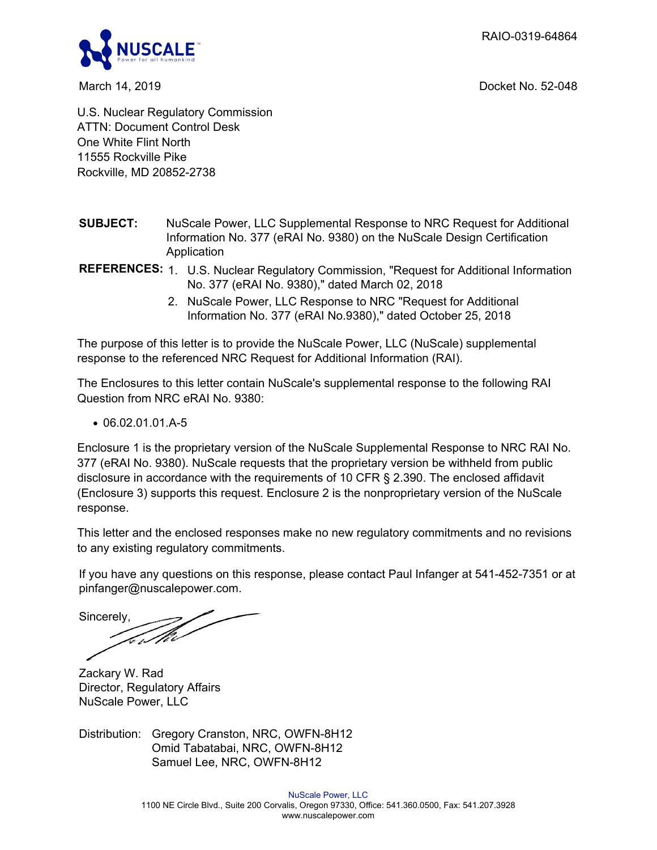RAIO-0319-64864



March 14, 2019 Docket No. 52-048

U.S. Nuclear Regulatory Commission ATTN: Document Control Desk One White Flint North 11555 Rockville Pike Rockville, MD 20852-2738

- **SUBJECT:** NuScale Power, LLC Supplemental Response to NRC Request for Additional Information No. 377 (eRAI No. 9380) on the NuScale Design Certification Application
- **REFERENCES:** 1. U.S. Nuclear Regulatory Commission, "Request for Additional Information No. 377 (eRAI No. 9380)," dated March 02, 2018
	- 2. NuScale Power, LLC Response to NRC "Request for Additional Information No. 377 (eRAI No.9380)," dated October 25, 2018

The purpose of this letter is to provide the NuScale Power, LLC (NuScale) supplemental response to the referenced NRC Request for Additional Information (RAI).

The Enclosures to this letter contain NuScale's supplemental response to the following RAI Question from NRC eRAI No. 9380:

 $\bullet$  06.02.01.01.A-5

Enclosure 1 is the proprietary version of the NuScale Supplemental Response to NRC RAI No. 377 (eRAI No. 9380). NuScale requests that the proprietary version be withheld from public disclosure in accordance with the requirements of 10 CFR § 2.390. The enclosed affidavit (Enclosure 3) supports this request. Enclosure 2 is the nonproprietary version of the NuScale response.

This letter and the enclosed responses make no new regulatory commitments and no revisions to any existing regulatory commitments.

If you have any questions on this response, please contact Paul Infanger at 541-452-7351 or at pinfanger@nuscalepower.com.

Sincerely,

Zackary W. Rad Director, Regulatory Affairs NuScale Power, LLC

Distribution: Gregory Cranston, NRC, OWFN-8H12 Omid Tabatabai, NRC, OWFN-8H12 Samuel Lee, NRC, OWFN-8H12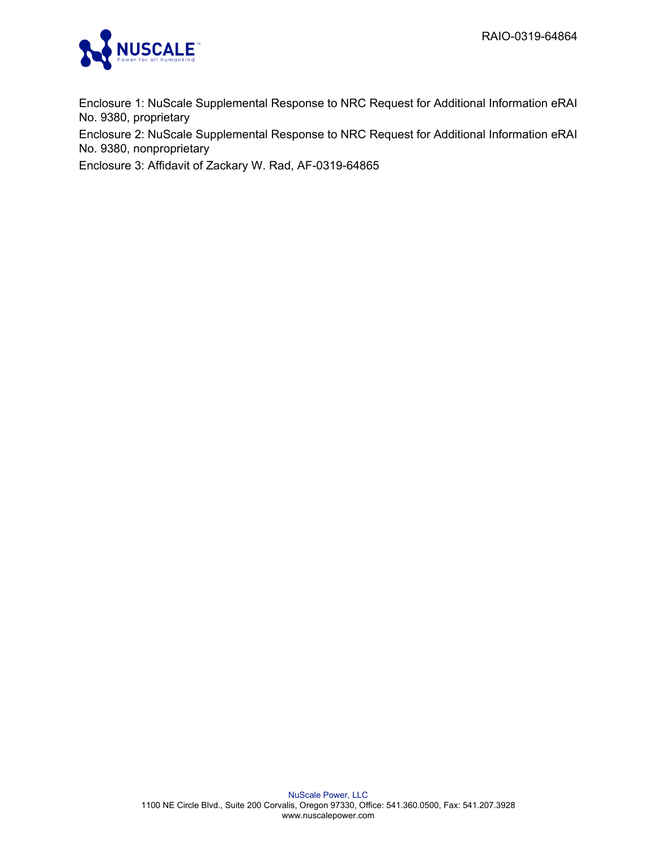

Enclosure 1: NuScale Supplemental Response to NRC Request for Additional Information eRAI No. 9380, proprietary

Enclosure 2: NuScale Supplemental Response to NRC Request for Additional Information eRAI No. 9380, nonproprietary

Enclosure 3: Affidavit of Zackary W. Rad, AF-0319-64865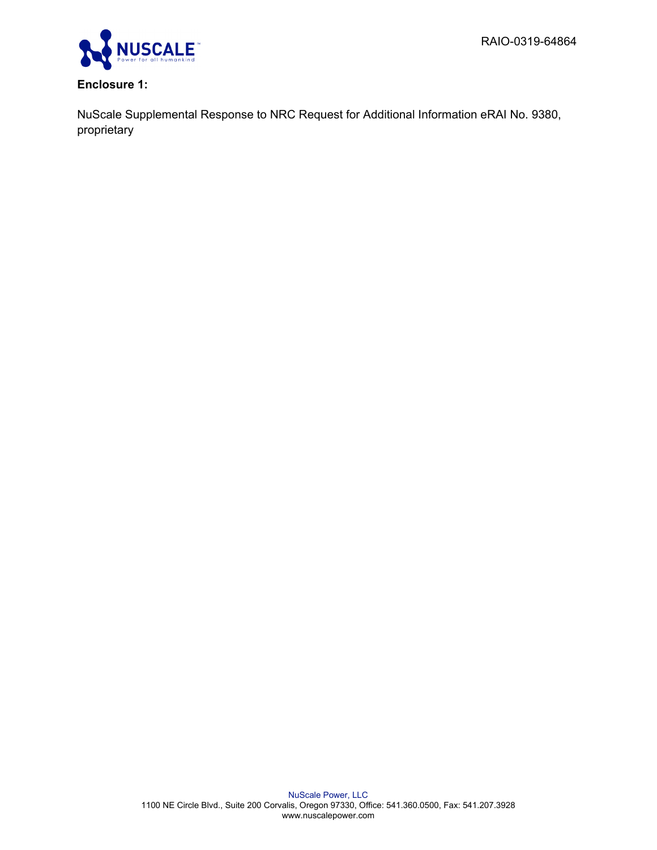

# **Enclosure 1:**

NuScale Supplemental Response to NRC Request for Additional Information eRAI No. 9380, proprietary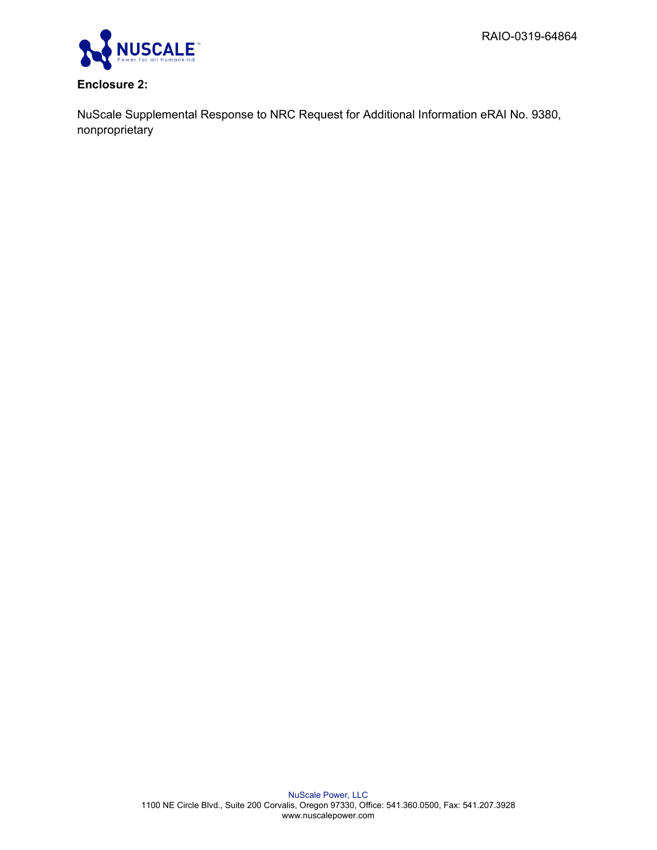

# **Enclosure 2:**

NuScale Supplemental Response to NRC Request for Additional Information eRAI No. 9380, nonproprietary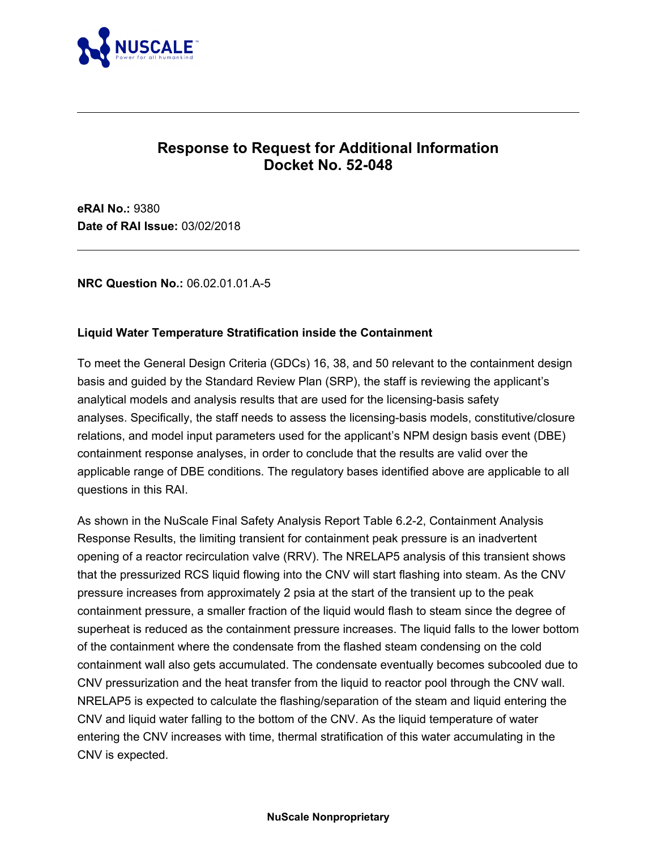

# **Response to Request for Additional Information Docket No. 52-048**

**eRAI No.:** 9380 **Date of RAI Issue:** 03/02/2018

### **NRC Question No.:** 06.02.01.01.A-5

### **Liquid Water Temperature Stratification inside the Containment**

To meet the General Design Criteria (GDCs) 16, 38, and 50 relevant to the containment design basis and guided by the Standard Review Plan (SRP), the staff is reviewing the applicant's analytical models and analysis results that are used for the licensing-basis safety analyses. Specifically, the staff needs to assess the licensing-basis models, constitutive/closure relations, and model input parameters used for the applicant's NPM design basis event (DBE) containment response analyses, in order to conclude that the results are valid over the applicable range of DBE conditions. The regulatory bases identified above are applicable to all questions in this RAI.

As shown in the NuScale Final Safety Analysis Report Table 6.2-2, Containment Analysis Response Results, the limiting transient for containment peak pressure is an inadvertent opening of a reactor recirculation valve (RRV). The NRELAP5 analysis of this transient shows that the pressurized RCS liquid flowing into the CNV will start flashing into steam. As the CNV pressure increases from approximately 2 psia at the start of the transient up to the peak containment pressure, a smaller fraction of the liquid would flash to steam since the degree of superheat is reduced as the containment pressure increases. The liquid falls to the lower bottom of the containment where the condensate from the flashed steam condensing on the cold containment wall also gets accumulated. The condensate eventually becomes subcooled due to CNV pressurization and the heat transfer from the liquid to reactor pool through the CNV wall. NRELAP5 is expected to calculate the flashing/separation of the steam and liquid entering the CNV and liquid water falling to the bottom of the CNV. As the liquid temperature of water entering the CNV increases with time, thermal stratification of this water accumulating in the CNV is expected.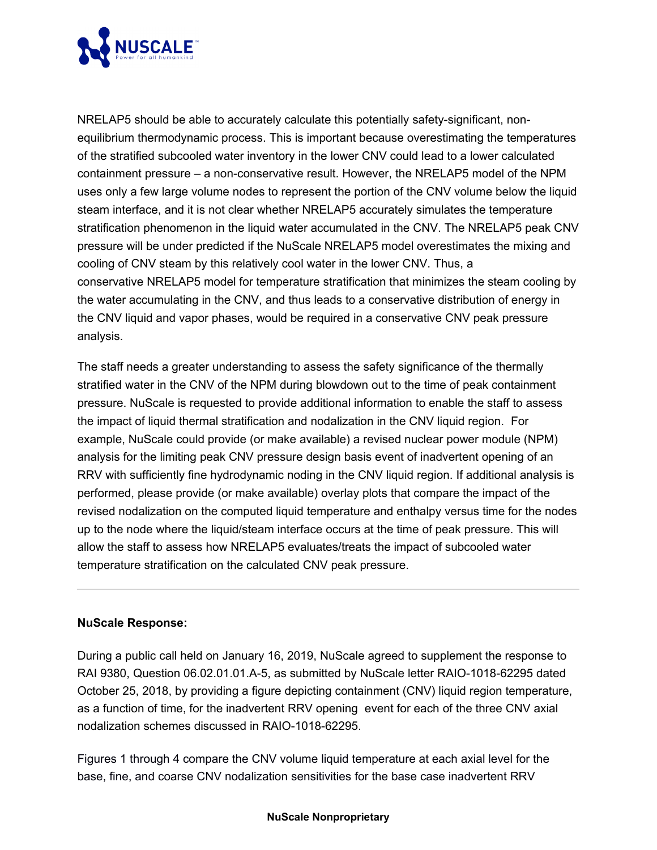

NRELAP5 should be able to accurately calculate this potentially safety-significant, nonequilibrium thermodynamic process. This is important because overestimating the temperatures of the stratified subcooled water inventory in the lower CNV could lead to a lower calculated containment pressure – a non-conservative result. However, the NRELAP5 model of the NPM uses only a few large volume nodes to represent the portion of the CNV volume below the liquid steam interface, and it is not clear whether NRELAP5 accurately simulates the temperature stratification phenomenon in the liquid water accumulated in the CNV. The NRELAP5 peak CNV pressure will be under predicted if the NuScale NRELAP5 model overestimates the mixing and cooling of CNV steam by this relatively cool water in the lower CNV. Thus, a conservative NRELAP5 model for temperature stratification that minimizes the steam cooling by the water accumulating in the CNV, and thus leads to a conservative distribution of energy in the CNV liquid and vapor phases, would be required in a conservative CNV peak pressure analysis.

The staff needs a greater understanding to assess the safety significance of the thermally stratified water in the CNV of the NPM during blowdown out to the time of peak containment pressure. NuScale is requested to provide additional information to enable the staff to assess the impact of liquid thermal stratification and nodalization in the CNV liquid region. For example, NuScale could provide (or make available) a revised nuclear power module (NPM) analysis for the limiting peak CNV pressure design basis event of inadvertent opening of an RRV with sufficiently fine hydrodynamic noding in the CNV liquid region. If additional analysis is performed, please provide (or make available) overlay plots that compare the impact of the revised nodalization on the computed liquid temperature and enthalpy versus time for the nodes up to the node where the liquid/steam interface occurs at the time of peak pressure. This will allow the staff to assess how NRELAP5 evaluates/treats the impact of subcooled water temperature stratification on the calculated CNV peak pressure.

#### **NuScale Response:**

During a public call held on January 16, 2019, NuScale agreed to supplement the response to RAI 9380, Question 06.02.01.01.A-5, as submitted by NuScale letter RAIO-1018-62295 dated October 25, 2018, by providing a figure depicting containment (CNV) liquid region temperature, as a function of time, for the inadvertent RRV opening event for each of the three CNV axial nodalization schemes discussed in RAIO-1018-62295.

Figures 1 through 4 compare the CNV volume liquid temperature at each axial level for the base, fine, and coarse CNV nodalization sensitivities for the base case inadvertent RRV

#### **NuScale Nonproprietary**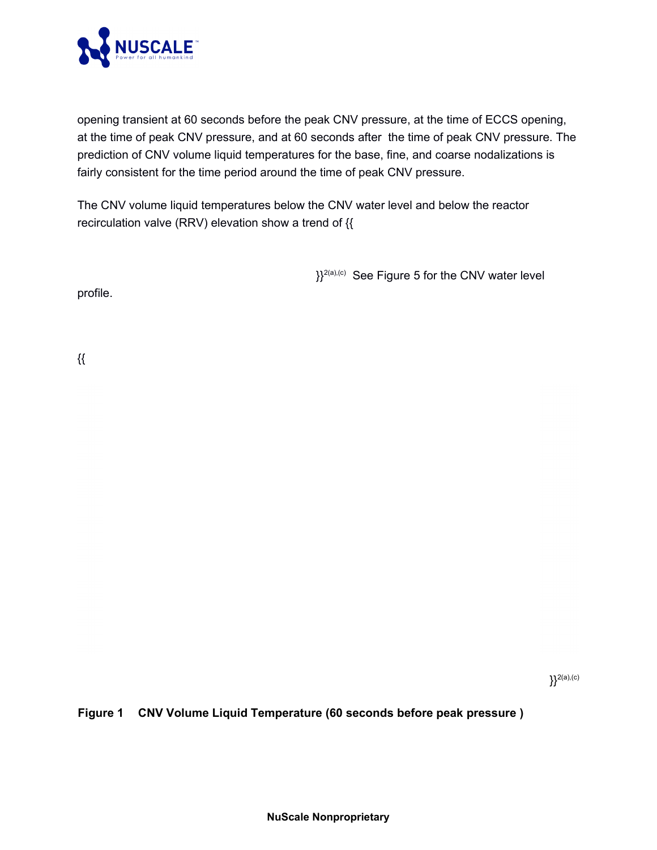

opening transient at 60 seconds before the peak CNV pressure, at the time of ECCS opening, at the time of peak CNV pressure, and at 60 seconds after the time of peak CNV pressure. The prediction of CNV volume liquid temperatures for the base, fine, and coarse nodalizations is fairly consistent for the time period around the time of peak CNV pressure.

The CNV volume liquid temperatures below the CNV water level and below the reactor recirculation valve (RRV) elevation show a trend of {{

 ${}_{1}^{2(a),(c)}$  See Figure 5 for the CNV water level

profile.

{{

}}2(a),(c)

**Figure 1 CNV Volume Liquid Temperature (60 seconds before peak pressure )**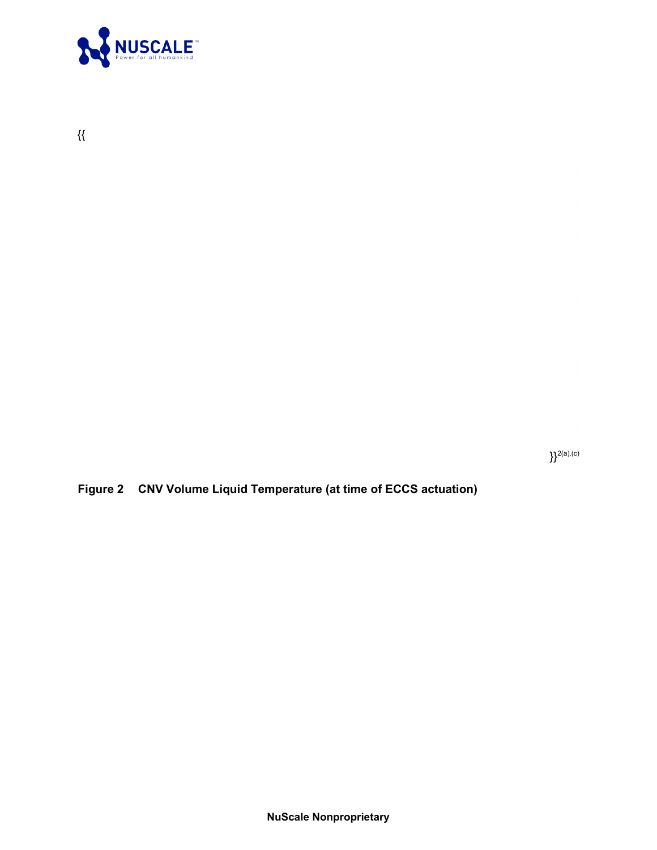

 $\{\{$ 

 $\}$ <sup>2(a),(c)</sup>

**Figure 2 CNV Volume Liquid Temperature (at time of ECCS actuation)**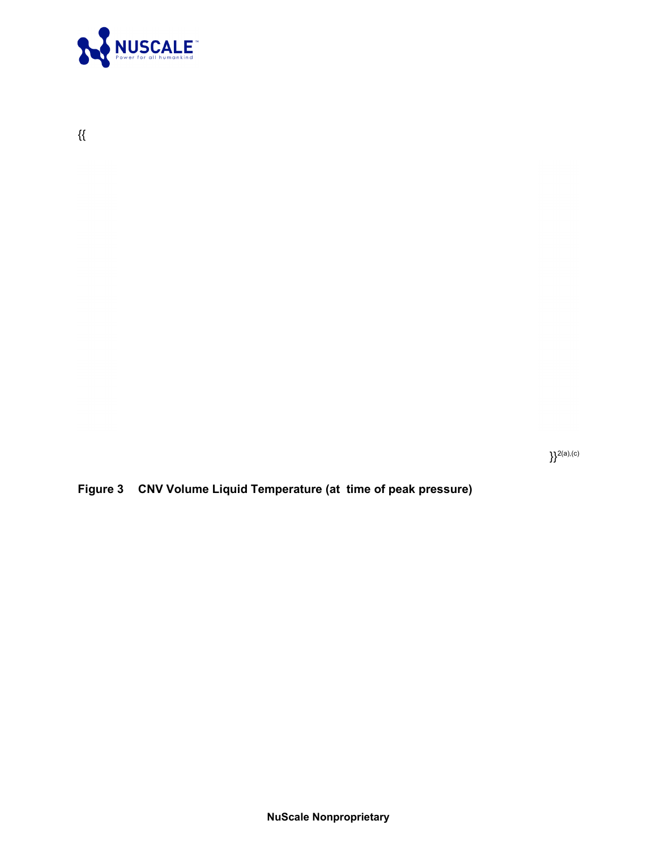

 $\mathcal{H}$ 

 $\}$ <sup>2(a),(c)</sup>

**Figure 3 CNV Volume Liquid Temperature (at time of peak pressure)**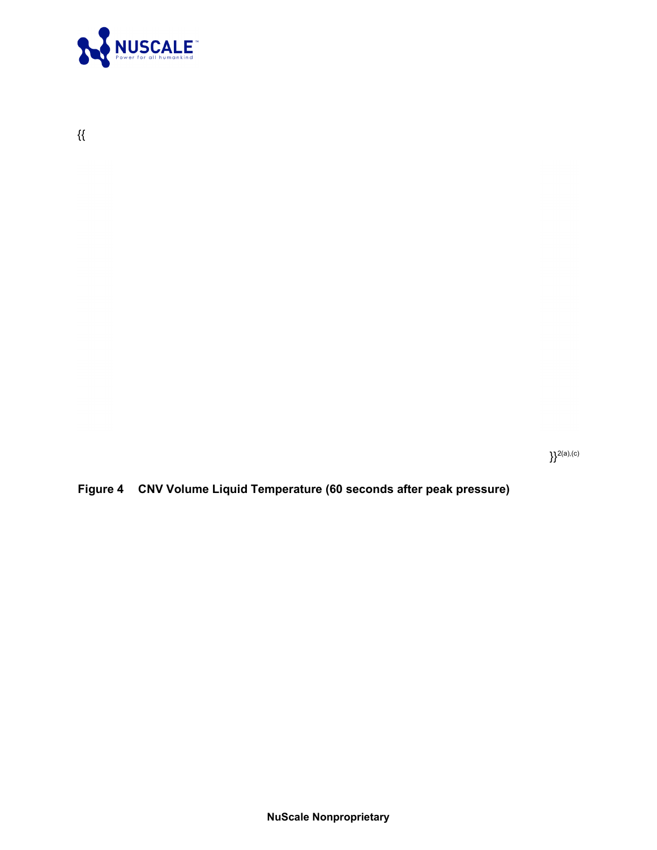

 $\{\{$ 

 $\}$ <sup>2(a),(c)</sup>

**Figure 4 CNV Volume Liquid Temperature (60 seconds after peak pressure)**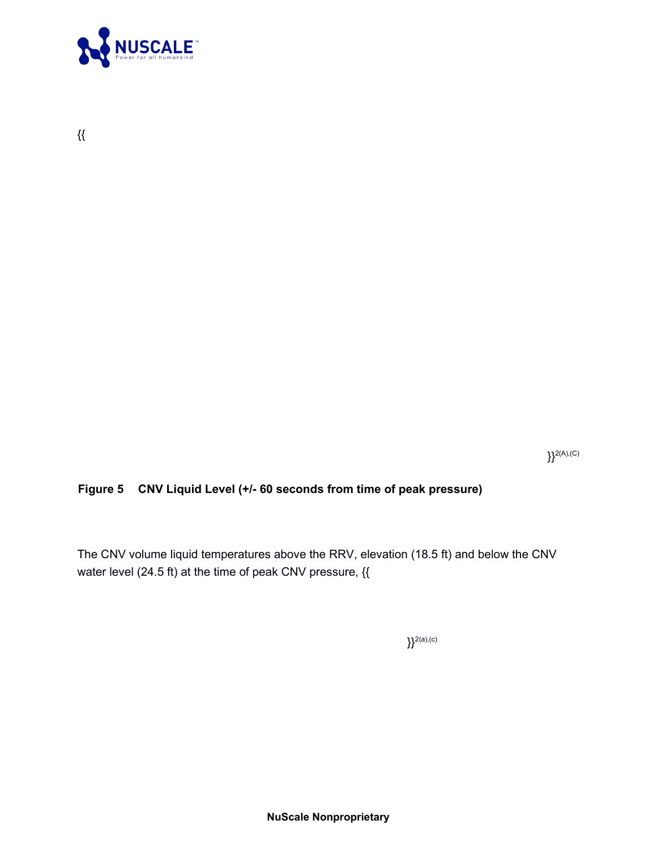

{{

 $\}$ <sup>2(A),(C)</sup>

### **Figure 5 CNV Liquid Level (+/- 60 seconds from time of peak pressure)**

The CNV volume liquid temperatures above the RRV, elevation (18.5 ft) and below the CNV water level (24.5 ft) at the time of peak CNV pressure, {{

 $\}$ <sup>2(a),(c)</sup>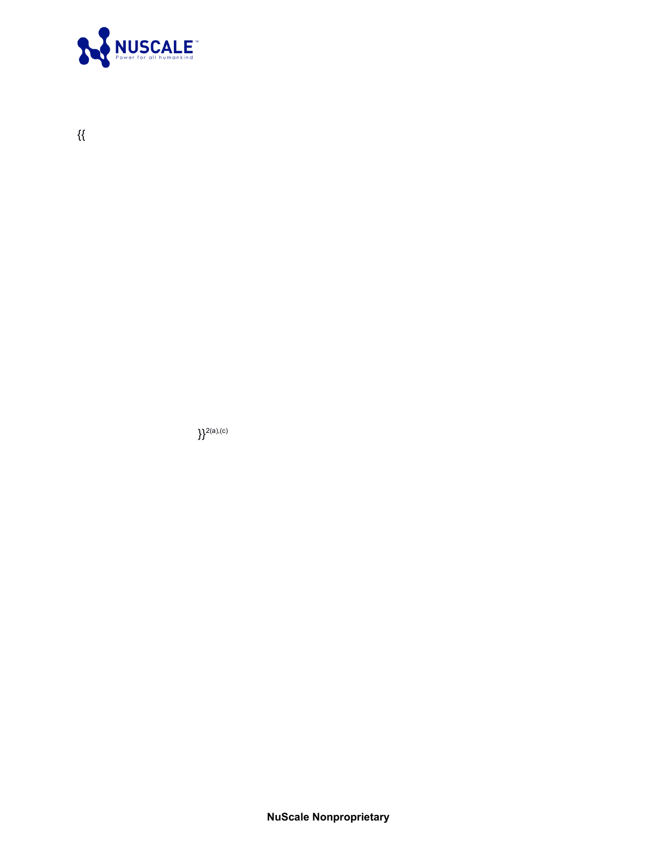

 $\}^{2(a),(c)}$ 



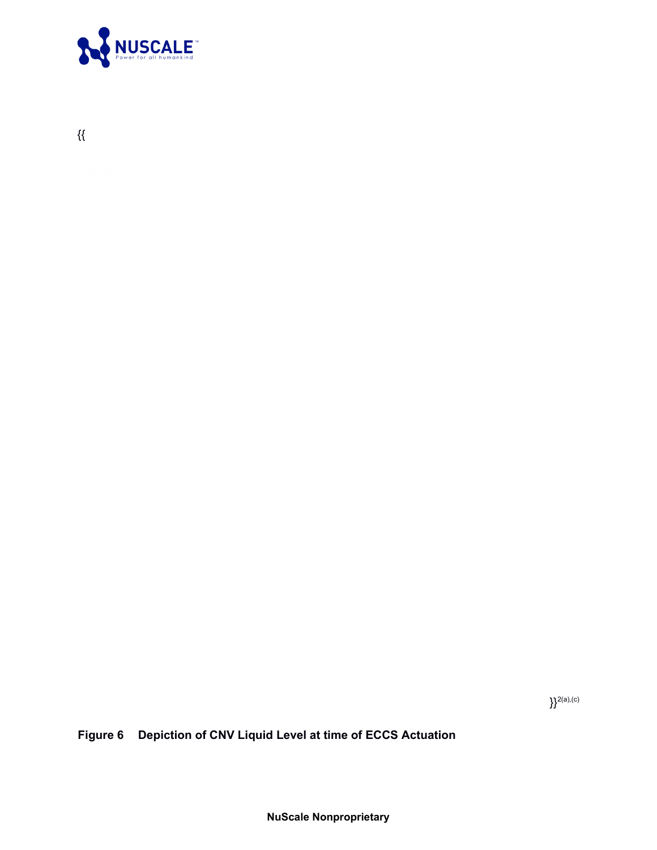

{{

 $\}^{2(a),(c)}$ 

**Figure 6 Depiction of CNV Liquid Level at time of ECCS Actuation**

**NuScale Nonproprietary**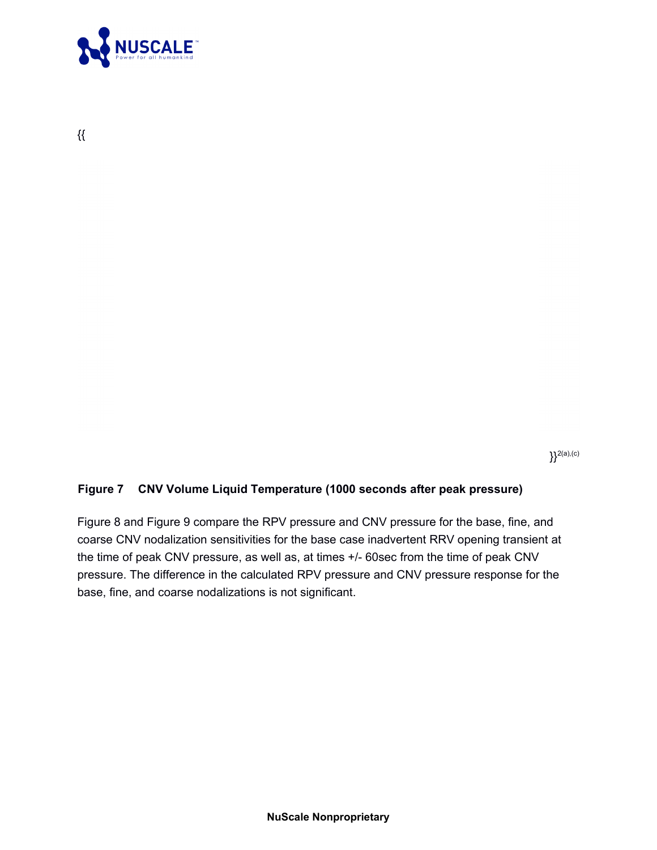

{{

 ${}^{2(a),(c)}$ 

### **Figure 7 CNV Volume Liquid Temperature (1000 seconds after peak pressure)**

Figure 8 and Figure 9 compare the RPV pressure and CNV pressure for the base, fine, and coarse CNV nodalization sensitivities for the base case inadvertent RRV opening transient at the time of peak CNV pressure, as well as, at times +/- 60sec from the time of peak CNV pressure. The difference in the calculated RPV pressure and CNV pressure response for the base, fine, and coarse nodalizations is not significant.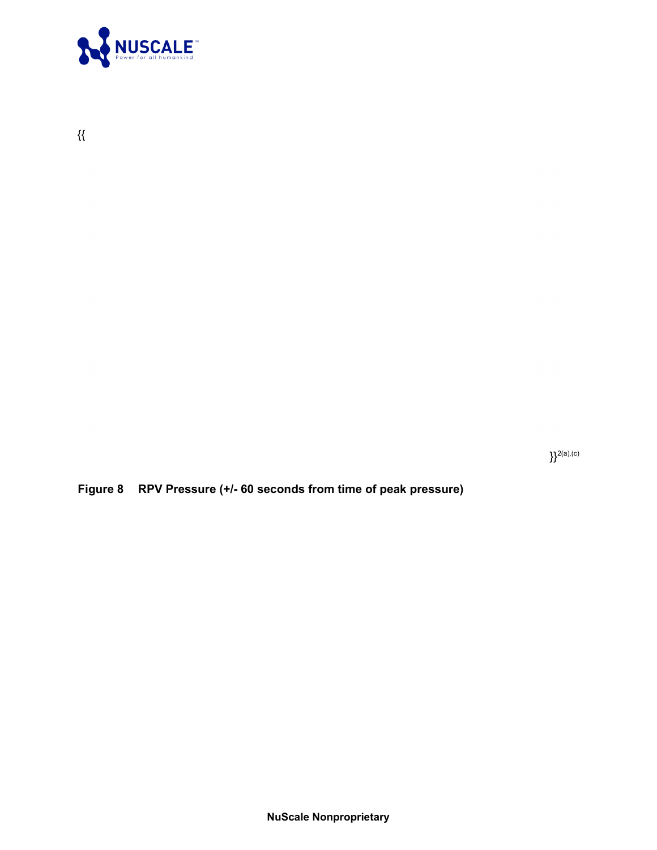

 $\{\{$ 

 $\}$ <sup>2(a),(c)</sup>

**Figure 8 RPV Pressure (+/- 60 seconds from time of peak pressure)**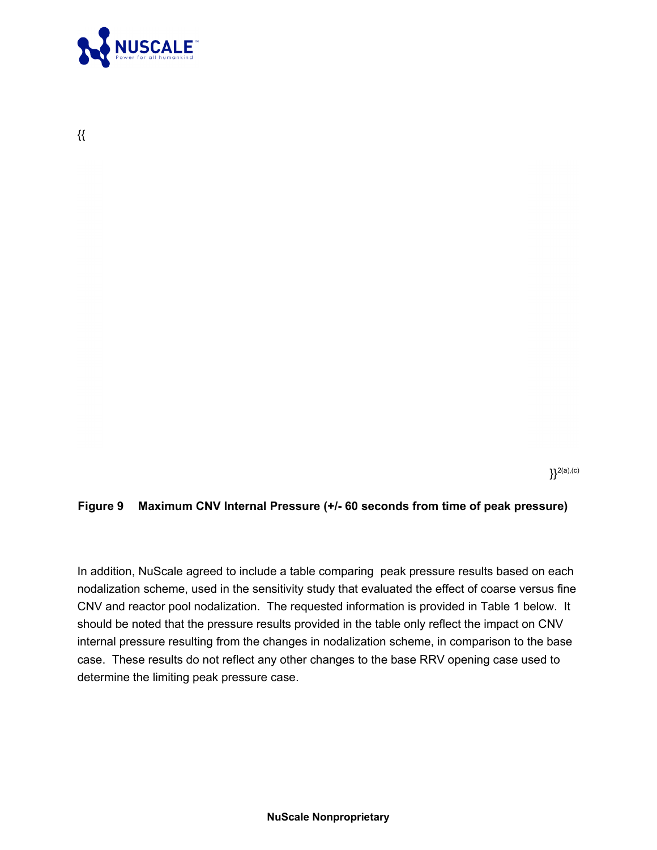

{{

 ${}^{2(a),(c)}$ 

#### **Figure 9 Maximum CNV Internal Pressure (+/- 60 seconds from time of peak pressure)**

In addition, NuScale agreed to include a table comparing peak pressure results based on each nodalization scheme, used in the sensitivity study that evaluated the effect of coarse versus fine CNV and reactor pool nodalization. The requested information is provided in Table 1 below. It should be noted that the pressure results provided in the table only reflect the impact on CNV internal pressure resulting from the changes in nodalization scheme, in comparison to the base case. These results do not reflect any other changes to the base RRV opening case used to determine the limiting peak pressure case.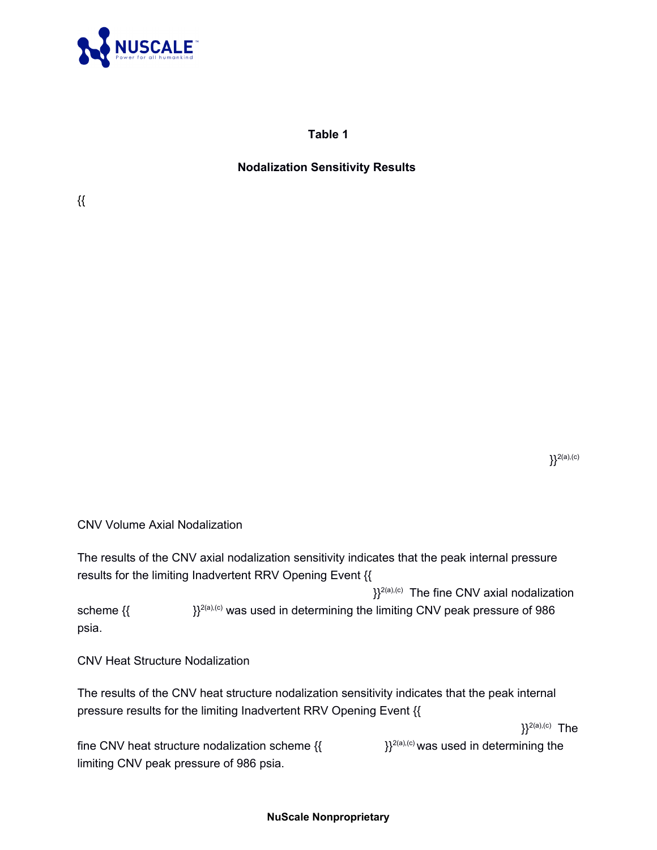

**Table 1**

### **Nodalization Sensitivity Results**

{{

 ${}^{2(a),(c)}$ 

CNV Volume Axial Nodalization

The results of the CNV axial nodalization sensitivity indicates that the peak internal pressure results for the limiting Inadvertent RRV Opening Event {{

 ${}_{3}^{2(a),(c)}$  The fine CNV axial nodalization scheme  $\{\}$   $\}$ <sup>2(a),(c)</sup> was used in determining the limiting CNV peak pressure of 986 psia.

CNV Heat Structure Nodalization

The results of the CNV heat structure nodalization sensitivity indicates that the peak internal pressure results for the limiting Inadvertent RRV Opening Event {{

 ${}^{2(a),(c)}$  The

fine CNV heat structure nodalization scheme  $\{$ {  $\}$ }<sup>2(a),(c)</sup> was used in determining the limiting CNV peak pressure of 986 psia.

#### **NuScale Nonproprietary**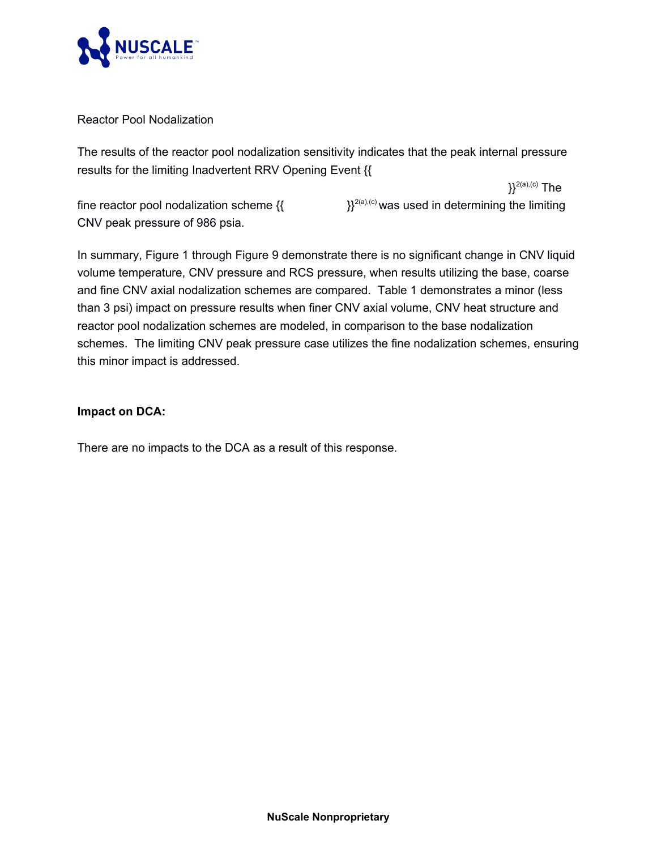

Reactor Pool Nodalization

The results of the reactor pool nodalization sensitivity indicates that the peak internal pressure results for the limiting Inadvertent RRV Opening Event {{

 ${}^{2(a),(c)}$  The

fine reactor pool nodalization scheme  $\{$ {  $\}$ }<sup>2(a),(c)</sup> was used in determining the limiting CNV peak pressure of 986 psia.

In summary, Figure 1 through Figure 9 demonstrate there is no significant change in CNV liquid volume temperature, CNV pressure and RCS pressure, when results utilizing the base, coarse and fine CNV axial nodalization schemes are compared. Table 1 demonstrates a minor (less than 3 psi) impact on pressure results when finer CNV axial volume, CNV heat structure and reactor pool nodalization schemes are modeled, in comparison to the base nodalization schemes. The limiting CNV peak pressure case utilizes the fine nodalization schemes, ensuring this minor impact is addressed.

### **Impact on DCA:**

There are no impacts to the DCA as a result of this response.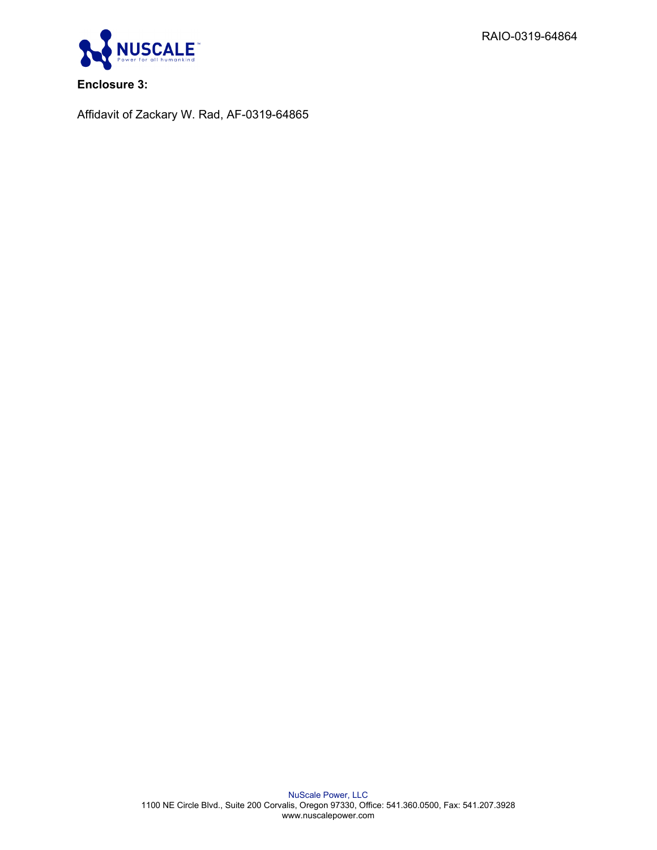RAIO-0319-64864



**Enclosure 3:**

Affidavit of Zackary W. Rad, AF-0319-64865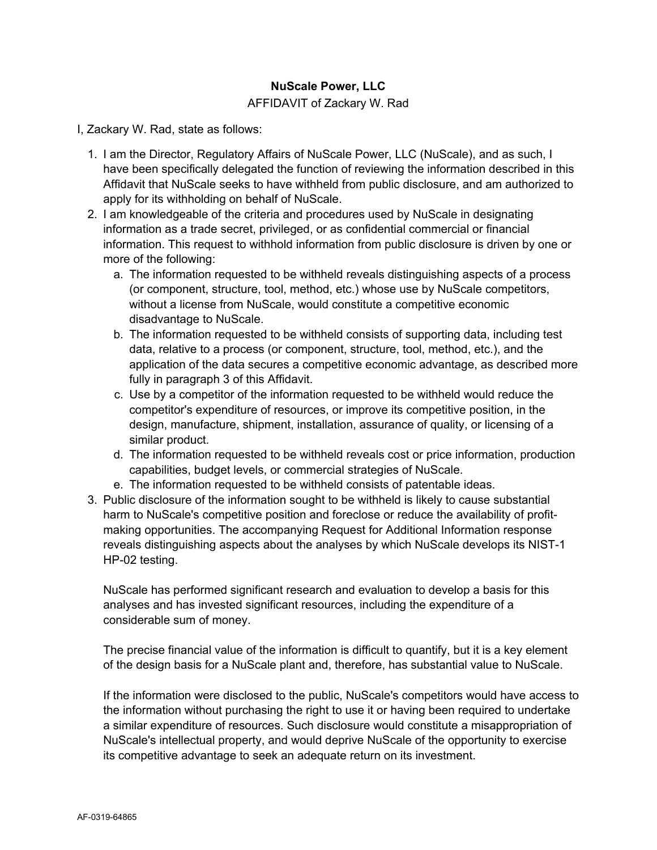### **NuScale Power, LLC**

#### AFFIDAVIT of Zackary W. Rad

I, Zackary W. Rad, state as follows:

- 1. I am the Director, Regulatory Affairs of NuScale Power, LLC (NuScale), and as such, I have been specifically delegated the function of reviewing the information described in this Affidavit that NuScale seeks to have withheld from public disclosure, and am authorized to apply for its withholding on behalf of NuScale.
- 2. I am knowledgeable of the criteria and procedures used by NuScale in designating information as a trade secret, privileged, or as confidential commercial or financial information. This request to withhold information from public disclosure is driven by one or more of the following:
	- a. The information requested to be withheld reveals distinguishing aspects of a process (or component, structure, tool, method, etc.) whose use by NuScale competitors, without a license from NuScale, would constitute a competitive economic disadvantage to NuScale.
	- b. The information requested to be withheld consists of supporting data, including test data, relative to a process (or component, structure, tool, method, etc.), and the application of the data secures a competitive economic advantage, as described more fully in paragraph 3 of this Affidavit.
	- c. Use by a competitor of the information requested to be withheld would reduce the competitor's expenditure of resources, or improve its competitive position, in the design, manufacture, shipment, installation, assurance of quality, or licensing of a similar product.
	- d. The information requested to be withheld reveals cost or price information, production capabilities, budget levels, or commercial strategies of NuScale.
	- e. The information requested to be withheld consists of patentable ideas.
- 3. Public disclosure of the information sought to be withheld is likely to cause substantial harm to NuScale's competitive position and foreclose or reduce the availability of profitmaking opportunities. The accompanying Request for Additional Information response reveals distinguishing aspects about the analyses by which NuScale develops its NIST-1 HP-02 testing.

NuScale has performed significant research and evaluation to develop a basis for this analyses and has invested significant resources, including the expenditure of a considerable sum of money.

The precise financial value of the information is difficult to quantify, but it is a key element of the design basis for a NuScale plant and, therefore, has substantial value to NuScale.

If the information were disclosed to the public, NuScale's competitors would have access to the information without purchasing the right to use it or having been required to undertake a similar expenditure of resources. Such disclosure would constitute a misappropriation of NuScale's intellectual property, and would deprive NuScale of the opportunity to exercise its competitive advantage to seek an adequate return on its investment.